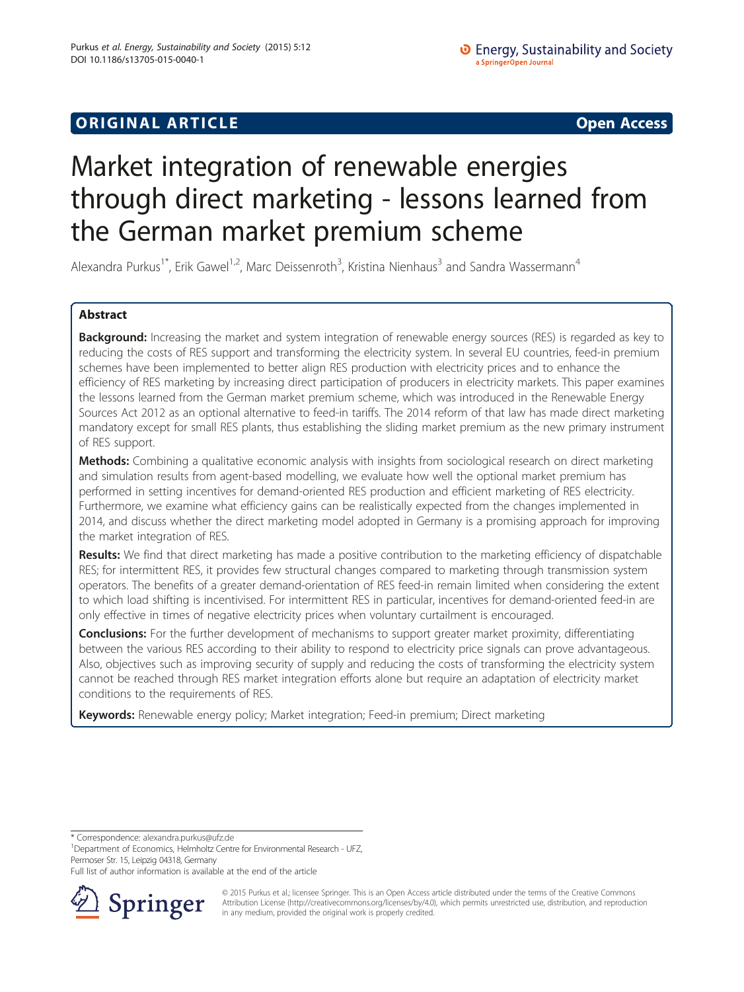# **ORIGINAL ARTICLE CONSUMING A LIGACION** CONSUMING A LIGACION CONSUMING A LIGACION CONSUMING A LIGACION CONSUMING A LIGACION CONSUMING A LIGACION CONSUMING A LIGACION CONSUMING A LIGACION CONSUMING A LIGACION CONSUMING A

# Market integration of renewable energies through direct marketing - lessons learned from the German market premium scheme

Alexandra Purkus<sup>1\*</sup>, Erik Gawel<sup>1,2</sup>, Marc Deissenroth<sup>3</sup>, Kristina Nienhaus<sup>3</sup> and Sandra Wassermann<sup>4</sup>

# Abstract

Background: Increasing the market and system integration of renewable energy sources (RES) is regarded as key to reducing the costs of RES support and transforming the electricity system. In several EU countries, feed-in premium schemes have been implemented to better align RES production with electricity prices and to enhance the efficiency of RES marketing by increasing direct participation of producers in electricity markets. This paper examines the lessons learned from the German market premium scheme, which was introduced in the Renewable Energy Sources Act 2012 as an optional alternative to feed-in tariffs. The 2014 reform of that law has made direct marketing mandatory except for small RES plants, thus establishing the sliding market premium as the new primary instrument of RES support.

Methods: Combining a qualitative economic analysis with insights from sociological research on direct marketing and simulation results from agent-based modelling, we evaluate how well the optional market premium has performed in setting incentives for demand-oriented RES production and efficient marketing of RES electricity. Furthermore, we examine what efficiency gains can be realistically expected from the changes implemented in 2014, and discuss whether the direct marketing model adopted in Germany is a promising approach for improving the market integration of RES.

Results: We find that direct marketing has made a positive contribution to the marketing efficiency of dispatchable RES; for intermittent RES, it provides few structural changes compared to marketing through transmission system operators. The benefits of a greater demand-orientation of RES feed-in remain limited when considering the extent to which load shifting is incentivised. For intermittent RES in particular, incentives for demand-oriented feed-in are only effective in times of negative electricity prices when voluntary curtailment is encouraged.

**Conclusions:** For the further development of mechanisms to support greater market proximity, differentiating between the various RES according to their ability to respond to electricity price signals can prove advantageous. Also, objectives such as improving security of supply and reducing the costs of transforming the electricity system cannot be reached through RES market integration efforts alone but require an adaptation of electricity market conditions to the requirements of RES.

Keywords: Renewable energy policy; Market integration; Feed-in premium; Direct marketing

\* Correspondence: [alexandra.purkus@ufz.de](mailto:alexandra.purkus@ufz.de) <sup>1</sup>

<sup>1</sup>Department of Economics, Helmholtz Centre for Environmental Research - UFZ, Permoser Str. 15, Leipzig 04318, Germany

Full list of author information is available at the end of the article



© 2015 Purkus et al.; licensee Springer. This is an Open Access article distributed under the terms of the Creative Commons Attribution License [\(http://creativecommons.org/licenses/by/4.0\)](http://creativecommons.org/licenses/by/4.0), which permits unrestricted use, distribution, and reproduction in any medium, provided the original work is properly credited.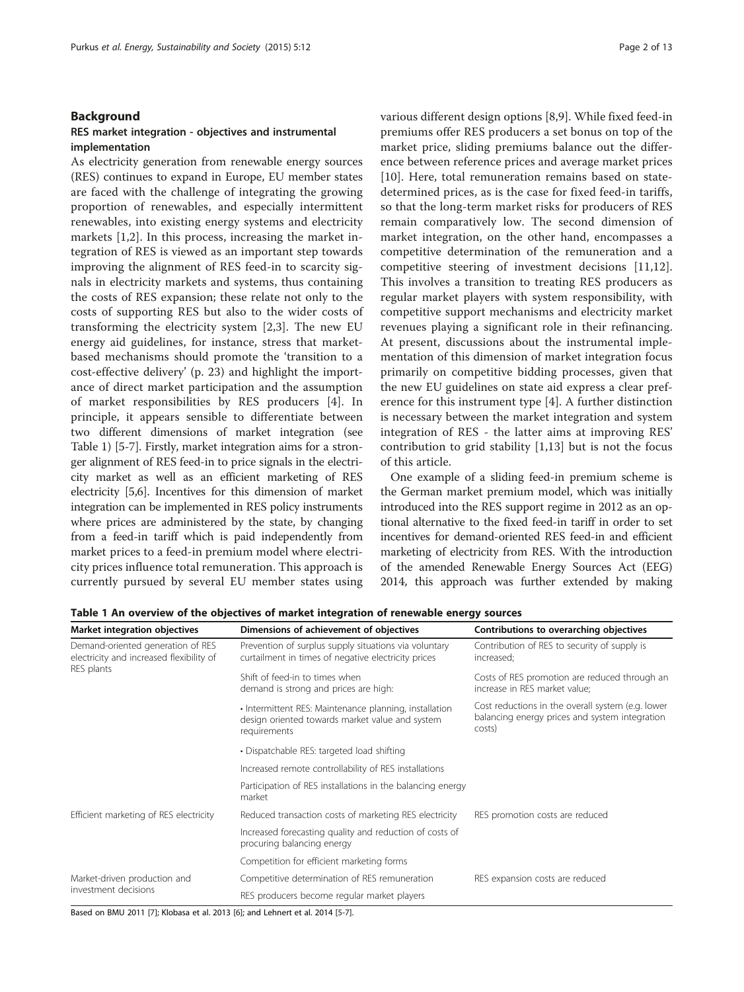#### <span id="page-1-0"></span>Background

## RES market integration - objectives and instrumental implementation

As electricity generation from renewable energy sources (RES) continues to expand in Europe, EU member states are faced with the challenge of integrating the growing proportion of renewables, and especially intermittent renewables, into existing energy systems and electricity markets [\[1](#page-10-0),[2\]](#page-10-0). In this process, increasing the market integration of RES is viewed as an important step towards improving the alignment of RES feed-in to scarcity signals in electricity markets and systems, thus containing the costs of RES expansion; these relate not only to the costs of supporting RES but also to the wider costs of transforming the electricity system [[2,3\]](#page-10-0). The new EU energy aid guidelines, for instance, stress that marketbased mechanisms should promote the 'transition to a cost-effective delivery' (p. 23) and highlight the importance of direct market participation and the assumption of market responsibilities by RES producers [[4](#page-10-0)]. In principle, it appears sensible to differentiate between two different dimensions of market integration (see Table 1) [\[5-7](#page-10-0)]. Firstly, market integration aims for a stronger alignment of RES feed-in to price signals in the electricity market as well as an efficient marketing of RES electricity [\[5,6\]](#page-10-0). Incentives for this dimension of market integration can be implemented in RES policy instruments where prices are administered by the state, by changing from a feed-in tariff which is paid independently from market prices to a feed-in premium model where electricity prices influence total remuneration. This approach is currently pursued by several EU member states using various different design options [[8,9](#page-10-0)]. While fixed feed-in premiums offer RES producers a set bonus on top of the market price, sliding premiums balance out the difference between reference prices and average market prices [[10\]](#page-11-0). Here, total remuneration remains based on statedetermined prices, as is the case for fixed feed-in tariffs, so that the long-term market risks for producers of RES remain comparatively low. The second dimension of market integration, on the other hand, encompasses a competitive determination of the remuneration and a competitive steering of investment decisions [[11,12](#page-11-0)]. This involves a transition to treating RES producers as regular market players with system responsibility, with competitive support mechanisms and electricity market revenues playing a significant role in their refinancing. At present, discussions about the instrumental implementation of this dimension of market integration focus primarily on competitive bidding processes, given that the new EU guidelines on state aid express a clear preference for this instrument type [\[4\]](#page-10-0). A further distinction is necessary between the market integration and system integration of RES - the latter aims at improving RES' contribution to grid stability [\[1](#page-10-0),[13\]](#page-11-0) but is not the focus of this article.

One example of a sliding feed-in premium scheme is the German market premium model, which was initially introduced into the RES support regime in 2012 as an optional alternative to the fixed feed-in tariff in order to set incentives for demand-oriented RES feed-in and efficient marketing of electricity from RES. With the introduction of the amended Renewable Energy Sources Act (EEG) 2014, this approach was further extended by making

| Market integration objectives                                                               | Dimensions of achievement of objectives                                                                                   | Contributions to overarching objectives                                                                       |
|---------------------------------------------------------------------------------------------|---------------------------------------------------------------------------------------------------------------------------|---------------------------------------------------------------------------------------------------------------|
| Demand-oriented generation of RES<br>electricity and increased flexibility of<br>RES plants | Prevention of surplus supply situations via voluntary<br>curtailment in times of negative electricity prices              | Contribution of RES to security of supply is<br>increased:                                                    |
|                                                                                             | Shift of feed-in to times when<br>demand is strong and prices are high:                                                   | Costs of RES promotion are reduced through an<br>increase in RES market value;                                |
|                                                                                             | • Intermittent RES: Maintenance planning, installation<br>design oriented towards market value and system<br>requirements | Cost reductions in the overall system (e.g. lower<br>balancing energy prices and system integration<br>costs) |
|                                                                                             | • Dispatchable RES: targeted load shifting                                                                                |                                                                                                               |
|                                                                                             | Increased remote controllability of RES installations                                                                     |                                                                                                               |
|                                                                                             | Participation of RES installations in the balancing energy<br>market                                                      |                                                                                                               |
| Efficient marketing of RES electricity                                                      | Reduced transaction costs of marketing RES electricity                                                                    | RES promotion costs are reduced                                                                               |
|                                                                                             | Increased forecasting quality and reduction of costs of<br>procuring balancing energy                                     |                                                                                                               |
|                                                                                             | Competition for efficient marketing forms                                                                                 |                                                                                                               |
| Market-driven production and<br>investment decisions                                        | Competitive determination of RES remuneration                                                                             | RES expansion costs are reduced                                                                               |
|                                                                                             | RES producers become regular market players                                                                               |                                                                                                               |

Table 1 An overview of the objectives of market integration of renewable energy sources

Based on BMU 2011 [\[7\]](#page-10-0); Klobasa et al. 2013 [[6](#page-10-0)]; and Lehnert et al. 2014 [[5-7\]](#page-10-0).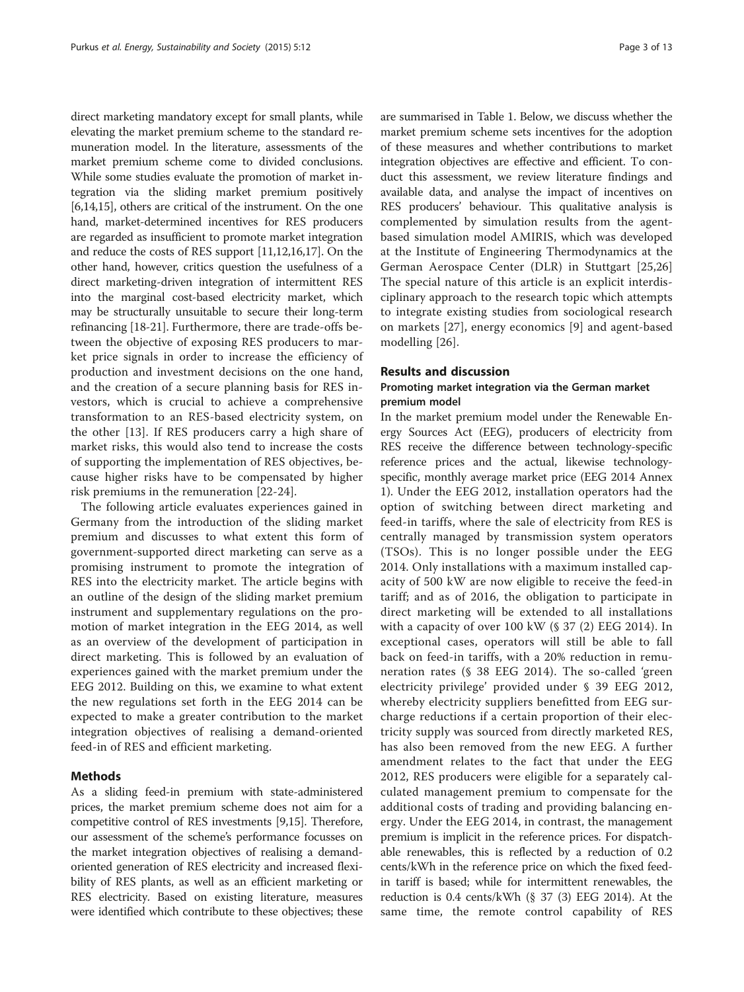direct marketing mandatory except for small plants, while elevating the market premium scheme to the standard remuneration model. In the literature, assessments of the market premium scheme come to divided conclusions. While some studies evaluate the promotion of market integration via the sliding market premium positively [[6,](#page-10-0)[14,15\]](#page-11-0), others are critical of the instrument. On the one hand, market-determined incentives for RES producers are regarded as insufficient to promote market integration and reduce the costs of RES support [\[11,12,16,17](#page-11-0)]. On the other hand, however, critics question the usefulness of a direct marketing-driven integration of intermittent RES into the marginal cost-based electricity market, which may be structurally unsuitable to secure their long-term refinancing [\[18-21\]](#page-11-0). Furthermore, there are trade-offs between the objective of exposing RES producers to market price signals in order to increase the efficiency of production and investment decisions on the one hand, and the creation of a secure planning basis for RES investors, which is crucial to achieve a comprehensive transformation to an RES-based electricity system, on the other [\[13](#page-11-0)]. If RES producers carry a high share of market risks, this would also tend to increase the costs of supporting the implementation of RES objectives, because higher risks have to be compensated by higher risk premiums in the remuneration [[22-24](#page-11-0)].

The following article evaluates experiences gained in Germany from the introduction of the sliding market premium and discusses to what extent this form of government-supported direct marketing can serve as a promising instrument to promote the integration of RES into the electricity market. The article begins with an outline of the design of the sliding market premium instrument and supplementary regulations on the promotion of market integration in the EEG 2014, as well as an overview of the development of participation in direct marketing. This is followed by an evaluation of experiences gained with the market premium under the EEG 2012. Building on this, we examine to what extent the new regulations set forth in the EEG 2014 can be expected to make a greater contribution to the market integration objectives of realising a demand-oriented feed-in of RES and efficient marketing.

#### Methods

As a sliding feed-in premium with state-administered prices, the market premium scheme does not aim for a competitive control of RES investments [\[9,](#page-10-0)[15](#page-11-0)]. Therefore, our assessment of the scheme's performance focusses on the market integration objectives of realising a demandoriented generation of RES electricity and increased flexibility of RES plants, as well as an efficient marketing or RES electricity. Based on existing literature, measures were identified which contribute to these objectives; these

are summarised in Table [1](#page-1-0). Below, we discuss whether the market premium scheme sets incentives for the adoption of these measures and whether contributions to market integration objectives are effective and efficient. To conduct this assessment, we review literature findings and available data, and analyse the impact of incentives on RES producers' behaviour. This qualitative analysis is complemented by simulation results from the agentbased simulation model AMIRIS, which was developed at the Institute of Engineering Thermodynamics at the German Aerospace Center (DLR) in Stuttgart [\[25,26](#page-11-0)] The special nature of this article is an explicit interdisciplinary approach to the research topic which attempts to integrate existing studies from sociological research on markets [[27\]](#page-11-0), energy economics [[9](#page-10-0)] and agent-based modelling [\[26](#page-11-0)].

#### Results and discussion

# Promoting market integration via the German market premium model

In the market premium model under the Renewable Energy Sources Act (EEG), producers of electricity from RES receive the difference between technology-specific reference prices and the actual, likewise technologyspecific, monthly average market price (EEG 2014 Annex 1). Under the EEG 2012, installation operators had the option of switching between direct marketing and feed-in tariffs, where the sale of electricity from RES is centrally managed by transmission system operators (TSOs). This is no longer possible under the EEG 2014. Only installations with a maximum installed capacity of 500 kW are now eligible to receive the feed-in tariff; and as of 2016, the obligation to participate in direct marketing will be extended to all installations with a capacity of over 100 kW (§ 37 (2) EEG 2014). In exceptional cases, operators will still be able to fall back on feed-in tariffs, with a 20% reduction in remuneration rates (§ 38 EEG 2014). The so-called 'green electricity privilege' provided under § 39 EEG 2012, whereby electricity suppliers benefitted from EEG surcharge reductions if a certain proportion of their electricity supply was sourced from directly marketed RES, has also been removed from the new EEG. A further amendment relates to the fact that under the EEG 2012, RES producers were eligible for a separately calculated management premium to compensate for the additional costs of trading and providing balancing energy. Under the EEG 2014, in contrast, the management premium is implicit in the reference prices. For dispatchable renewables, this is reflected by a reduction of 0.2 cents/kWh in the reference price on which the fixed feedin tariff is based; while for intermittent renewables, the reduction is 0.4 cents/kWh (§ 37 (3) EEG 2014). At the same time, the remote control capability of RES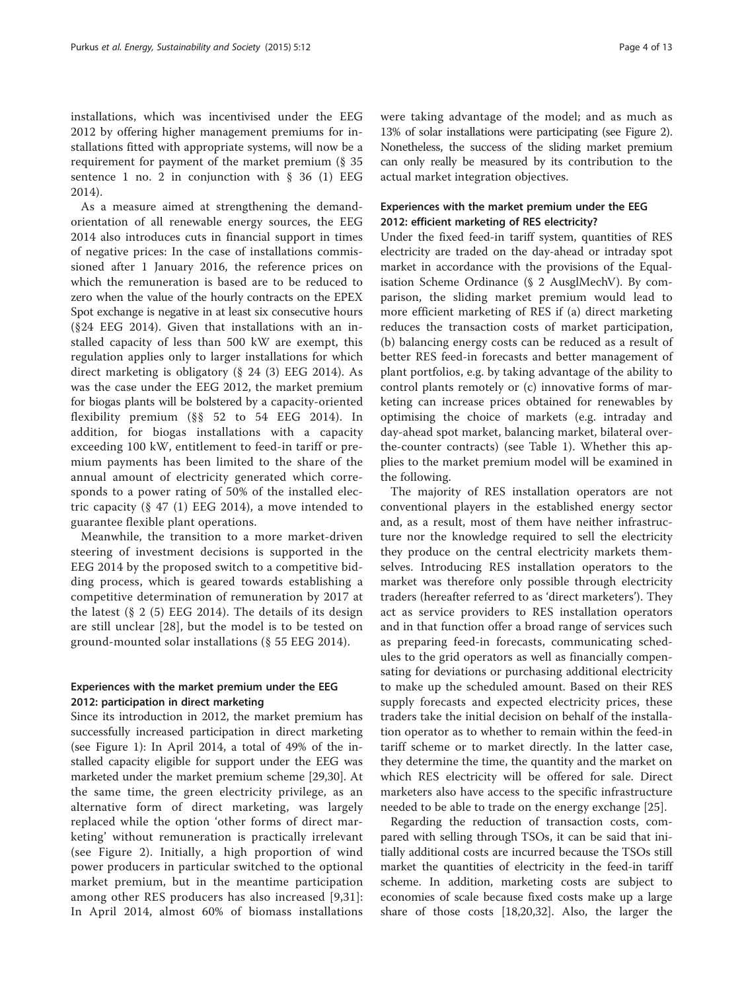installations, which was incentivised under the EEG 2012 by offering higher management premiums for installations fitted with appropriate systems, will now be a requirement for payment of the market premium (§ 35 sentence 1 no. 2 in conjunction with  $\S$  36 (1) EEG 2014).

As a measure aimed at strengthening the demandorientation of all renewable energy sources, the EEG 2014 also introduces cuts in financial support in times of negative prices: In the case of installations commissioned after 1 January 2016, the reference prices on which the remuneration is based are to be reduced to zero when the value of the hourly contracts on the EPEX Spot exchange is negative in at least six consecutive hours (§24 EEG 2014). Given that installations with an installed capacity of less than 500 kW are exempt, this regulation applies only to larger installations for which direct marketing is obligatory (§ 24 (3) EEG 2014). As was the case under the EEG 2012, the market premium for biogas plants will be bolstered by a capacity-oriented flexibility premium (§§ 52 to 54 EEG 2014). In addition, for biogas installations with a capacity exceeding 100 kW, entitlement to feed-in tariff or premium payments has been limited to the share of the annual amount of electricity generated which corresponds to a power rating of 50% of the installed electric capacity (§ 47 (1) EEG 2014), a move intended to guarantee flexible plant operations.

Meanwhile, the transition to a more market-driven steering of investment decisions is supported in the EEG 2014 by the proposed switch to a competitive bidding process, which is geared towards establishing a competitive determination of remuneration by 2017 at the latest  $(\S 2 (5)$  EEG 2014). The details of its design are still unclear [[28\]](#page-11-0), but the model is to be tested on ground-mounted solar installations (§ 55 EEG 2014).

# Experiences with the market premium under the EEG 2012: participation in direct marketing

Since its introduction in 2012, the market premium has successfully increased participation in direct marketing (see Figure [1\)](#page-4-0): In April 2014, a total of 49% of the installed capacity eligible for support under the EEG was marketed under the market premium scheme [\[29,30\]](#page-11-0). At the same time, the green electricity privilege, as an alternative form of direct marketing, was largely replaced while the option 'other forms of direct marketing' without remuneration is practically irrelevant (see Figure [2\)](#page-4-0). Initially, a high proportion of wind power producers in particular switched to the optional market premium, but in the meantime participation among other RES producers has also increased [\[9,](#page-10-0)[31](#page-11-0)]: In April 2014, almost 60% of biomass installations

were taking advantage of the model; and as much as 13% of solar installations were participating (see Figure [2](#page-4-0)). Nonetheless, the success of the sliding market premium can only really be measured by its contribution to the actual market integration objectives.

#### Experiences with the market premium under the EEG 2012: efficient marketing of RES electricity?

Under the fixed feed-in tariff system, quantities of RES electricity are traded on the day-ahead or intraday spot market in accordance with the provisions of the Equalisation Scheme Ordinance (§ 2 AusglMechV). By comparison, the sliding market premium would lead to more efficient marketing of RES if (a) direct marketing reduces the transaction costs of market participation, (b) balancing energy costs can be reduced as a result of better RES feed-in forecasts and better management of plant portfolios, e.g. by taking advantage of the ability to control plants remotely or (c) innovative forms of marketing can increase prices obtained for renewables by optimising the choice of markets (e.g. intraday and day-ahead spot market, balancing market, bilateral overthe-counter contracts) (see Table [1](#page-1-0)). Whether this applies to the market premium model will be examined in the following.

The majority of RES installation operators are not conventional players in the established energy sector and, as a result, most of them have neither infrastructure nor the knowledge required to sell the electricity they produce on the central electricity markets themselves. Introducing RES installation operators to the market was therefore only possible through electricity traders (hereafter referred to as 'direct marketers'). They act as service providers to RES installation operators and in that function offer a broad range of services such as preparing feed-in forecasts, communicating schedules to the grid operators as well as financially compensating for deviations or purchasing additional electricity to make up the scheduled amount. Based on their RES supply forecasts and expected electricity prices, these traders take the initial decision on behalf of the installation operator as to whether to remain within the feed-in tariff scheme or to market directly. In the latter case, they determine the time, the quantity and the market on which RES electricity will be offered for sale. Direct marketers also have access to the specific infrastructure needed to be able to trade on the energy exchange [[25\]](#page-11-0).

Regarding the reduction of transaction costs, compared with selling through TSOs, it can be said that initially additional costs are incurred because the TSOs still market the quantities of electricity in the feed-in tariff scheme. In addition, marketing costs are subject to economies of scale because fixed costs make up a large share of those costs [[18,20,32](#page-11-0)]. Also, the larger the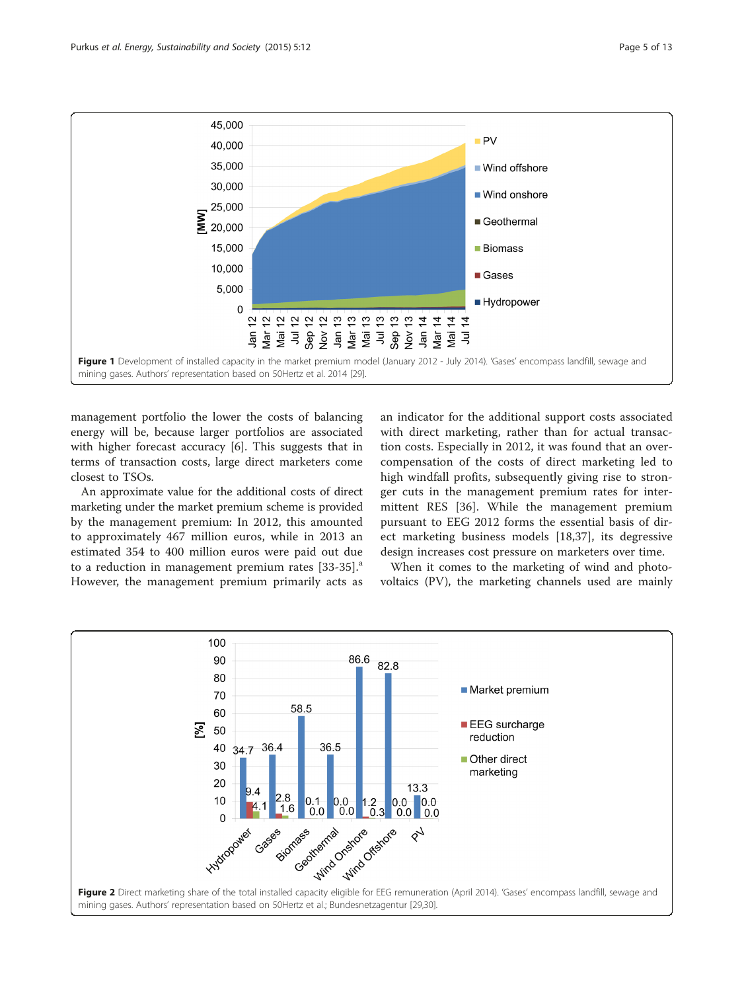<span id="page-4-0"></span>

management portfolio the lower the costs of balancing energy will be, because larger portfolios are associated with higher forecast accuracy [[6\]](#page-10-0). This suggests that in terms of transaction costs, large direct marketers come closest to TSOs.

An approximate value for the additional costs of direct marketing under the market premium scheme is provided by the management premium: In 2012, this amounted to approximately 467 million euros, while in 2013 an estimated 354 to 400 million euros were paid out due to a reduction in management premium rates  $[33-35]$  $[33-35]$  $[33-35]$  $[33-35]$ <sup>a</sup> However, the management premium primarily acts as an indicator for the additional support costs associated with direct marketing, rather than for actual transaction costs. Especially in 2012, it was found that an overcompensation of the costs of direct marketing led to high windfall profits, subsequently giving rise to stronger cuts in the management premium rates for intermittent RES [\[36](#page-11-0)]. While the management premium pursuant to EEG 2012 forms the essential basis of direct marketing business models [\[18,37](#page-11-0)], its degressive design increases cost pressure on marketers over time.

When it comes to the marketing of wind and photovoltaics (PV), the marketing channels used are mainly

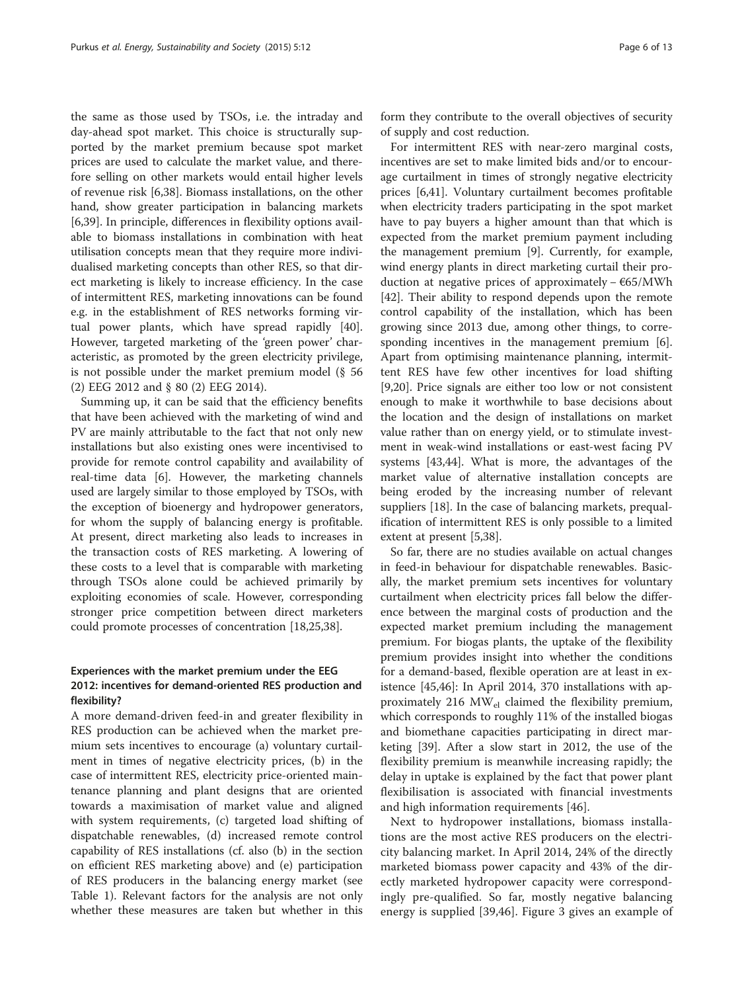the same as those used by TSOs, i.e. the intraday and day-ahead spot market. This choice is structurally supported by the market premium because spot market prices are used to calculate the market value, and therefore selling on other markets would entail higher levels of revenue risk [[6,](#page-10-0)[38\]](#page-11-0). Biomass installations, on the other hand, show greater participation in balancing markets [[6,](#page-10-0)[39\]](#page-11-0). In principle, differences in flexibility options available to biomass installations in combination with heat utilisation concepts mean that they require more individualised marketing concepts than other RES, so that direct marketing is likely to increase efficiency. In the case of intermittent RES, marketing innovations can be found e.g. in the establishment of RES networks forming virtual power plants, which have spread rapidly [\[40](#page-11-0)]. However, targeted marketing of the 'green power' characteristic, as promoted by the green electricity privilege, is not possible under the market premium model (§ 56 (2) EEG 2012 and § 80 (2) EEG 2014).

Summing up, it can be said that the efficiency benefits that have been achieved with the marketing of wind and PV are mainly attributable to the fact that not only new installations but also existing ones were incentivised to provide for remote control capability and availability of real-time data [[6\]](#page-10-0). However, the marketing channels used are largely similar to those employed by TSOs, with the exception of bioenergy and hydropower generators, for whom the supply of balancing energy is profitable. At present, direct marketing also leads to increases in the transaction costs of RES marketing. A lowering of these costs to a level that is comparable with marketing through TSOs alone could be achieved primarily by exploiting economies of scale. However, corresponding stronger price competition between direct marketers could promote processes of concentration [\[18,25,38\]](#page-11-0).

# Experiences with the market premium under the EEG 2012: incentives for demand-oriented RES production and flexibility?

A more demand-driven feed-in and greater flexibility in RES production can be achieved when the market premium sets incentives to encourage (a) voluntary curtailment in times of negative electricity prices, (b) in the case of intermittent RES, electricity price-oriented maintenance planning and plant designs that are oriented towards a maximisation of market value and aligned with system requirements, (c) targeted load shifting of dispatchable renewables, (d) increased remote control capability of RES installations (cf. also (b) in the section on efficient RES marketing above) and (e) participation of RES producers in the balancing energy market (see Table [1](#page-1-0)). Relevant factors for the analysis are not only whether these measures are taken but whether in this

form they contribute to the overall objectives of security of supply and cost reduction.

For intermittent RES with near-zero marginal costs, incentives are set to make limited bids and/or to encourage curtailment in times of strongly negative electricity prices [\[6](#page-10-0)[,41](#page-11-0)]. Voluntary curtailment becomes profitable when electricity traders participating in the spot market have to pay buyers a higher amount than that which is expected from the market premium payment including the management premium [\[9\]](#page-10-0). Currently, for example, wind energy plants in direct marketing curtail their production at negative prices of approximately − €65/MWh [[42\]](#page-11-0). Their ability to respond depends upon the remote control capability of the installation, which has been growing since 2013 due, among other things, to corre-sponding incentives in the management premium [\[6](#page-10-0)]. Apart from optimising maintenance planning, intermittent RES have few other incentives for load shifting [[9,](#page-10-0)[20\]](#page-11-0). Price signals are either too low or not consistent enough to make it worthwhile to base decisions about the location and the design of installations on market value rather than on energy yield, or to stimulate investment in weak-wind installations or east-west facing PV systems [[43](#page-11-0),[44](#page-11-0)]. What is more, the advantages of the market value of alternative installation concepts are being eroded by the increasing number of relevant suppliers [\[18](#page-11-0)]. In the case of balancing markets, prequalification of intermittent RES is only possible to a limited extent at present [[5,](#page-10-0)[38\]](#page-11-0).

So far, there are no studies available on actual changes in feed-in behaviour for dispatchable renewables. Basically, the market premium sets incentives for voluntary curtailment when electricity prices fall below the difference between the marginal costs of production and the expected market premium including the management premium. For biogas plants, the uptake of the flexibility premium provides insight into whether the conditions for a demand-based, flexible operation are at least in existence [[45,46](#page-11-0)]: In April 2014, 370 installations with approximately 216 MW<sub>el</sub> claimed the flexibility premium, which corresponds to roughly 11% of the installed biogas and biomethane capacities participating in direct marketing [[39\]](#page-11-0). After a slow start in 2012, the use of the flexibility premium is meanwhile increasing rapidly; the delay in uptake is explained by the fact that power plant flexibilisation is associated with financial investments and high information requirements [[46\]](#page-11-0).

Next to hydropower installations, biomass installations are the most active RES producers on the electricity balancing market. In April 2014, 24% of the directly marketed biomass power capacity and 43% of the directly marketed hydropower capacity were correspondingly pre-qualified. So far, mostly negative balancing energy is supplied [[39,46](#page-11-0)]. Figure [3](#page-6-0) gives an example of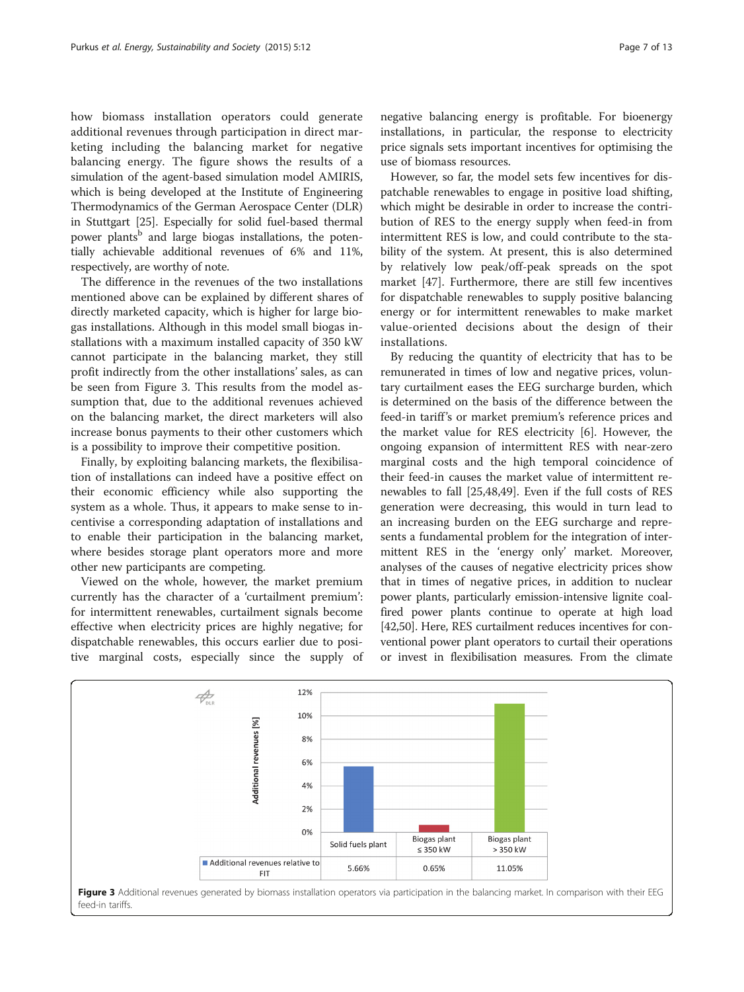<span id="page-6-0"></span>how biomass installation operators could generate additional revenues through participation in direct marketing including the balancing market for negative balancing energy. The figure shows the results of a simulation of the agent-based simulation model AMIRIS, which is being developed at the Institute of Engineering Thermodynamics of the German Aerospace Center (DLR) in Stuttgart [[25](#page-11-0)]. Especially for solid fuel-based thermal power plants<sup>b</sup> and large biogas installations, the potentially achievable additional revenues of 6% and 11%, respectively, are worthy of note.

The difference in the revenues of the two installations mentioned above can be explained by different shares of directly marketed capacity, which is higher for large biogas installations. Although in this model small biogas installations with a maximum installed capacity of 350 kW cannot participate in the balancing market, they still profit indirectly from the other installations' sales, as can be seen from Figure 3. This results from the model assumption that, due to the additional revenues achieved on the balancing market, the direct marketers will also increase bonus payments to their other customers which is a possibility to improve their competitive position.

Finally, by exploiting balancing markets, the flexibilisation of installations can indeed have a positive effect on their economic efficiency while also supporting the system as a whole. Thus, it appears to make sense to incentivise a corresponding adaptation of installations and to enable their participation in the balancing market, where besides storage plant operators more and more other new participants are competing.

Viewed on the whole, however, the market premium currently has the character of a 'curtailment premium': for intermittent renewables, curtailment signals become effective when electricity prices are highly negative; for dispatchable renewables, this occurs earlier due to positive marginal costs, especially since the supply of negative balancing energy is profitable. For bioenergy installations, in particular, the response to electricity price signals sets important incentives for optimising the use of biomass resources.

However, so far, the model sets few incentives for dispatchable renewables to engage in positive load shifting, which might be desirable in order to increase the contribution of RES to the energy supply when feed-in from intermittent RES is low, and could contribute to the stability of the system. At present, this is also determined by relatively low peak/off-peak spreads on the spot market [[47\]](#page-11-0). Furthermore, there are still few incentives for dispatchable renewables to supply positive balancing energy or for intermittent renewables to make market value-oriented decisions about the design of their installations.

By reducing the quantity of electricity that has to be remunerated in times of low and negative prices, voluntary curtailment eases the EEG surcharge burden, which is determined on the basis of the difference between the feed-in tariff's or market premium's reference prices and the market value for RES electricity [[6\]](#page-10-0). However, the ongoing expansion of intermittent RES with near-zero marginal costs and the high temporal coincidence of their feed-in causes the market value of intermittent renewables to fall [[25,48,49\]](#page-11-0). Even if the full costs of RES generation were decreasing, this would in turn lead to an increasing burden on the EEG surcharge and represents a fundamental problem for the integration of intermittent RES in the 'energy only' market. Moreover, analyses of the causes of negative electricity prices show that in times of negative prices, in addition to nuclear power plants, particularly emission-intensive lignite coalfired power plants continue to operate at high load [[42](#page-11-0),[50](#page-12-0)]. Here, RES curtailment reduces incentives for conventional power plant operators to curtail their operations or invest in flexibilisation measures. From the climate

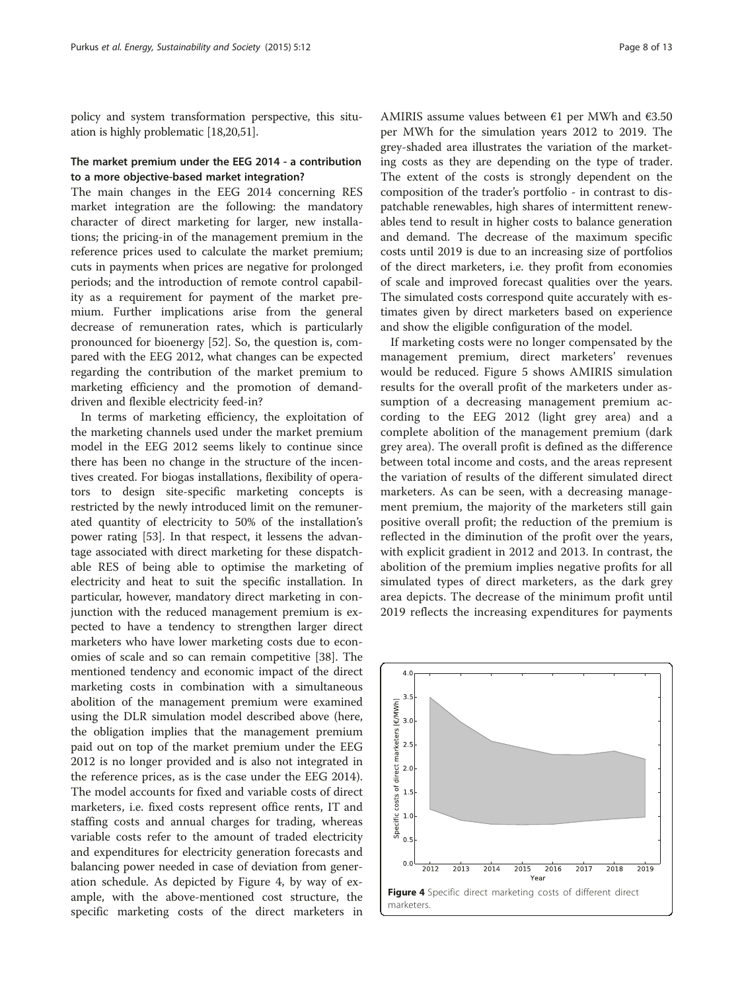policy and system transformation perspective, this situation is highly problematic [[18](#page-11-0),[20](#page-11-0)[,51\]](#page-12-0).

#### The market premium under the EEG 2014 - a contribution to a more objective-based market integration?

The main changes in the EEG 2014 concerning RES market integration are the following: the mandatory character of direct marketing for larger, new installations; the pricing-in of the management premium in the reference prices used to calculate the market premium; cuts in payments when prices are negative for prolonged periods; and the introduction of remote control capability as a requirement for payment of the market premium. Further implications arise from the general decrease of remuneration rates, which is particularly pronounced for bioenergy [[52\]](#page-12-0). So, the question is, compared with the EEG 2012, what changes can be expected regarding the contribution of the market premium to marketing efficiency and the promotion of demanddriven and flexible electricity feed-in?

In terms of marketing efficiency, the exploitation of the marketing channels used under the market premium model in the EEG 2012 seems likely to continue since there has been no change in the structure of the incentives created. For biogas installations, flexibility of operators to design site-specific marketing concepts is restricted by the newly introduced limit on the remunerated quantity of electricity to 50% of the installation's power rating [\[53\]](#page-12-0). In that respect, it lessens the advantage associated with direct marketing for these dispatchable RES of being able to optimise the marketing of electricity and heat to suit the specific installation. In particular, however, mandatory direct marketing in conjunction with the reduced management premium is expected to have a tendency to strengthen larger direct marketers who have lower marketing costs due to economies of scale and so can remain competitive [[38](#page-11-0)]. The mentioned tendency and economic impact of the direct marketing costs in combination with a simultaneous abolition of the management premium were examined using the DLR simulation model described above (here, the obligation implies that the management premium paid out on top of the market premium under the EEG 2012 is no longer provided and is also not integrated in the reference prices, as is the case under the EEG 2014). The model accounts for fixed and variable costs of direct marketers, i.e. fixed costs represent office rents, IT and staffing costs and annual charges for trading, whereas variable costs refer to the amount of traded electricity and expenditures for electricity generation forecasts and balancing power needed in case of deviation from generation schedule. As depicted by Figure 4, by way of example, with the above-mentioned cost structure, the specific marketing costs of the direct marketers in

AMIRIS assume values between  $E1$  per MWh and  $E3.50$ per MWh for the simulation years 2012 to 2019. The grey-shaded area illustrates the variation of the marketing costs as they are depending on the type of trader. The extent of the costs is strongly dependent on the composition of the trader's portfolio - in contrast to dispatchable renewables, high shares of intermittent renewables tend to result in higher costs to balance generation and demand. The decrease of the maximum specific costs until 2019 is due to an increasing size of portfolios of the direct marketers, i.e. they profit from economies of scale and improved forecast qualities over the years. The simulated costs correspond quite accurately with estimates given by direct marketers based on experience and show the eligible configuration of the model.

If marketing costs were no longer compensated by the management premium, direct marketers' revenues would be reduced. Figure [5](#page-8-0) shows AMIRIS simulation results for the overall profit of the marketers under assumption of a decreasing management premium according to the EEG 2012 (light grey area) and a complete abolition of the management premium (dark grey area). The overall profit is defined as the difference between total income and costs, and the areas represent the variation of results of the different simulated direct marketers. As can be seen, with a decreasing management premium, the majority of the marketers still gain positive overall profit; the reduction of the premium is reflected in the diminution of the profit over the years, with explicit gradient in 2012 and 2013. In contrast, the abolition of the premium implies negative profits for all simulated types of direct marketers, as the dark grey area depicts. The decrease of the minimum profit until 2019 reflects the increasing expenditures for payments

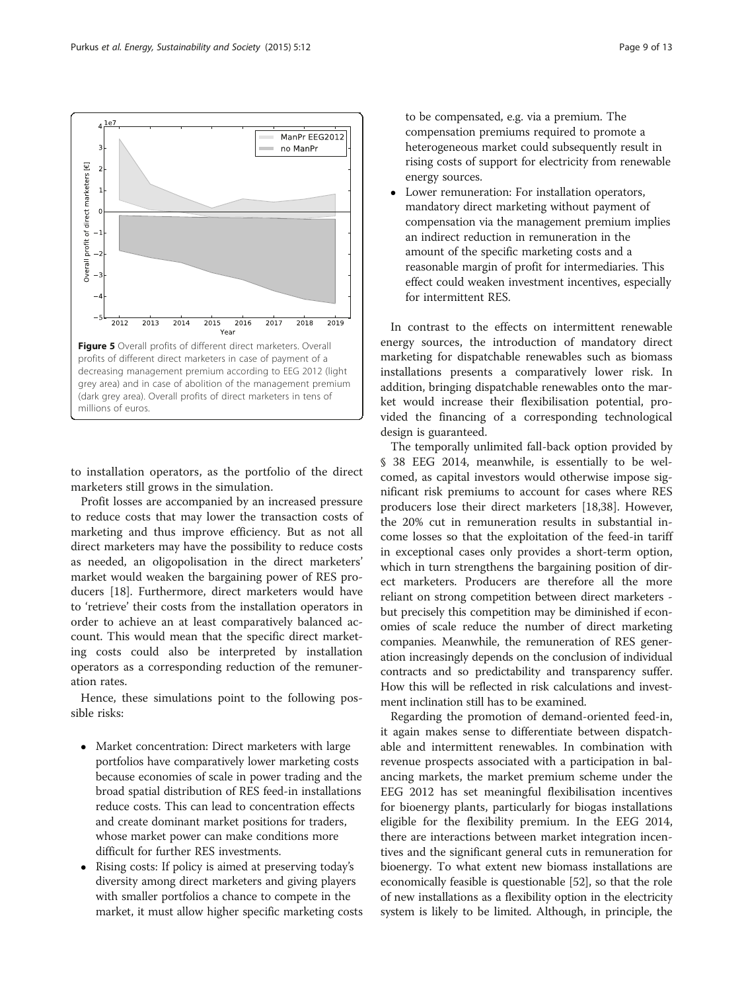<span id="page-8-0"></span>

to installation operators, as the portfolio of the direct marketers still grows in the simulation.

Profit losses are accompanied by an increased pressure to reduce costs that may lower the transaction costs of marketing and thus improve efficiency. But as not all direct marketers may have the possibility to reduce costs as needed, an oligopolisation in the direct marketers' market would weaken the bargaining power of RES producers [\[18\]](#page-11-0). Furthermore, direct marketers would have to 'retrieve' their costs from the installation operators in order to achieve an at least comparatively balanced account. This would mean that the specific direct marketing costs could also be interpreted by installation operators as a corresponding reduction of the remuneration rates.

Hence, these simulations point to the following possible risks:

- Market concentration: Direct marketers with large portfolios have comparatively lower marketing costs because economies of scale in power trading and the broad spatial distribution of RES feed-in installations reduce costs. This can lead to concentration effects and create dominant market positions for traders, whose market power can make conditions more difficult for further RES investments.
- Rising costs: If policy is aimed at preserving today's diversity among direct marketers and giving players with smaller portfolios a chance to compete in the market, it must allow higher specific marketing costs

to be compensated, e.g. via a premium. The compensation premiums required to promote a heterogeneous market could subsequently result in rising costs of support for electricity from renewable energy sources.

 Lower remuneration: For installation operators, mandatory direct marketing without payment of compensation via the management premium implies an indirect reduction in remuneration in the amount of the specific marketing costs and a reasonable margin of profit for intermediaries. This effect could weaken investment incentives, especially for intermittent RES.

In contrast to the effects on intermittent renewable energy sources, the introduction of mandatory direct marketing for dispatchable renewables such as biomass installations presents a comparatively lower risk. In addition, bringing dispatchable renewables onto the market would increase their flexibilisation potential, provided the financing of a corresponding technological design is guaranteed.

The temporally unlimited fall-back option provided by § 38 EEG 2014, meanwhile, is essentially to be welcomed, as capital investors would otherwise impose significant risk premiums to account for cases where RES producers lose their direct marketers [\[18,38\]](#page-11-0). However, the 20% cut in remuneration results in substantial income losses so that the exploitation of the feed-in tariff in exceptional cases only provides a short-term option, which in turn strengthens the bargaining position of direct marketers. Producers are therefore all the more reliant on strong competition between direct marketers but precisely this competition may be diminished if economies of scale reduce the number of direct marketing companies. Meanwhile, the remuneration of RES generation increasingly depends on the conclusion of individual contracts and so predictability and transparency suffer. How this will be reflected in risk calculations and investment inclination still has to be examined.

Regarding the promotion of demand-oriented feed-in, it again makes sense to differentiate between dispatchable and intermittent renewables. In combination with revenue prospects associated with a participation in balancing markets, the market premium scheme under the EEG 2012 has set meaningful flexibilisation incentives for bioenergy plants, particularly for biogas installations eligible for the flexibility premium. In the EEG 2014, there are interactions between market integration incentives and the significant general cuts in remuneration for bioenergy. To what extent new biomass installations are economically feasible is questionable [[52](#page-12-0)], so that the role of new installations as a flexibility option in the electricity system is likely to be limited. Although, in principle, the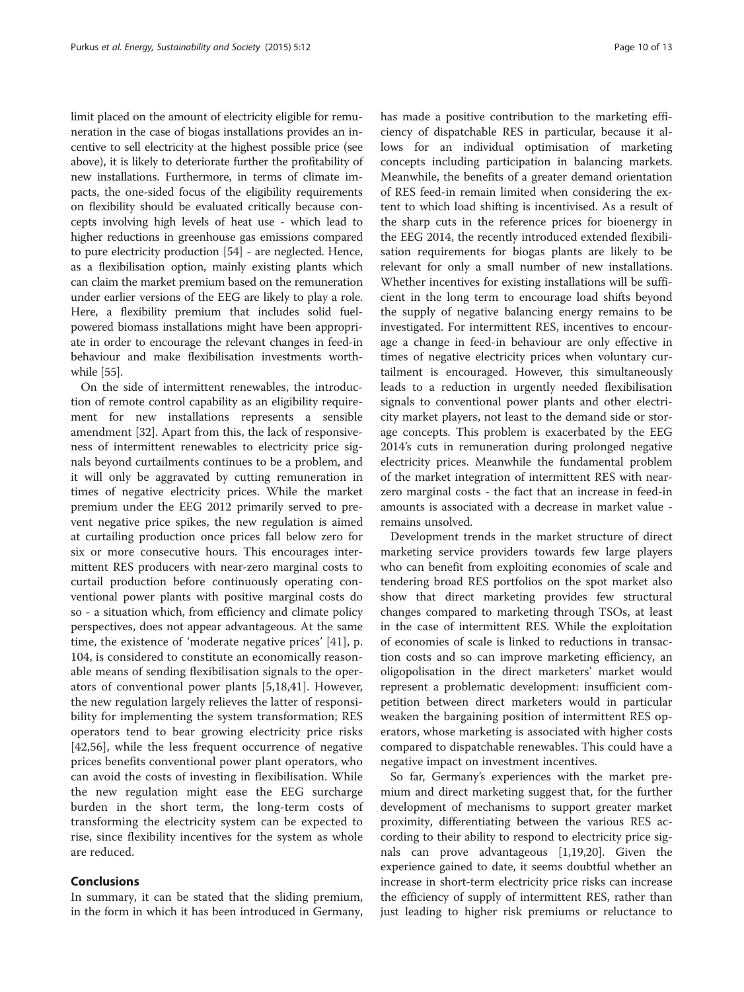limit placed on the amount of electricity eligible for remuneration in the case of biogas installations provides an incentive to sell electricity at the highest possible price (see above), it is likely to deteriorate further the profitability of new installations. Furthermore, in terms of climate impacts, the one-sided focus of the eligibility requirements on flexibility should be evaluated critically because concepts involving high levels of heat use - which lead to higher reductions in greenhouse gas emissions compared to pure electricity production [[54](#page-12-0)] - are neglected. Hence, as a flexibilisation option, mainly existing plants which can claim the market premium based on the remuneration under earlier versions of the EEG are likely to play a role. Here, a flexibility premium that includes solid fuelpowered biomass installations might have been appropriate in order to encourage the relevant changes in feed-in behaviour and make flexibilisation investments worthwhile [[55](#page-12-0)].

On the side of intermittent renewables, the introduction of remote control capability as an eligibility requirement for new installations represents a sensible amendment [[32](#page-11-0)]. Apart from this, the lack of responsiveness of intermittent renewables to electricity price signals beyond curtailments continues to be a problem, and it will only be aggravated by cutting remuneration in times of negative electricity prices. While the market premium under the EEG 2012 primarily served to prevent negative price spikes, the new regulation is aimed at curtailing production once prices fall below zero for six or more consecutive hours. This encourages intermittent RES producers with near-zero marginal costs to curtail production before continuously operating conventional power plants with positive marginal costs do so - a situation which, from efficiency and climate policy perspectives, does not appear advantageous. At the same time, the existence of 'moderate negative prices' [[41\]](#page-11-0), p. 104, is considered to constitute an economically reasonable means of sending flexibilisation signals to the operators of conventional power plants [[5,](#page-10-0)[18,41](#page-11-0)]. However, the new regulation largely relieves the latter of responsibility for implementing the system transformation; RES operators tend to bear growing electricity price risks [[42](#page-11-0)[,56](#page-12-0)], while the less frequent occurrence of negative prices benefits conventional power plant operators, who can avoid the costs of investing in flexibilisation. While the new regulation might ease the EEG surcharge burden in the short term, the long-term costs of transforming the electricity system can be expected to rise, since flexibility incentives for the system as whole are reduced.

#### Conclusions

In summary, it can be stated that the sliding premium, in the form in which it has been introduced in Germany, has made a positive contribution to the marketing efficiency of dispatchable RES in particular, because it allows for an individual optimisation of marketing concepts including participation in balancing markets. Meanwhile, the benefits of a greater demand orientation of RES feed-in remain limited when considering the extent to which load shifting is incentivised. As a result of the sharp cuts in the reference prices for bioenergy in the EEG 2014, the recently introduced extended flexibilisation requirements for biogas plants are likely to be relevant for only a small number of new installations. Whether incentives for existing installations will be sufficient in the long term to encourage load shifts beyond the supply of negative balancing energy remains to be investigated. For intermittent RES, incentives to encourage a change in feed-in behaviour are only effective in times of negative electricity prices when voluntary curtailment is encouraged. However, this simultaneously leads to a reduction in urgently needed flexibilisation signals to conventional power plants and other electricity market players, not least to the demand side or storage concepts. This problem is exacerbated by the EEG 2014's cuts in remuneration during prolonged negative electricity prices. Meanwhile the fundamental problem of the market integration of intermittent RES with nearzero marginal costs - the fact that an increase in feed-in amounts is associated with a decrease in market value remains unsolved.

Development trends in the market structure of direct marketing service providers towards few large players who can benefit from exploiting economies of scale and tendering broad RES portfolios on the spot market also show that direct marketing provides few structural changes compared to marketing through TSOs, at least in the case of intermittent RES. While the exploitation of economies of scale is linked to reductions in transaction costs and so can improve marketing efficiency, an oligopolisation in the direct marketers' market would represent a problematic development: insufficient competition between direct marketers would in particular weaken the bargaining position of intermittent RES operators, whose marketing is associated with higher costs compared to dispatchable renewables. This could have a negative impact on investment incentives.

So far, Germany's experiences with the market premium and direct marketing suggest that, for the further development of mechanisms to support greater market proximity, differentiating between the various RES according to their ability to respond to electricity price signals can prove advantageous [\[1](#page-10-0)[,19,20](#page-11-0)]. Given the experience gained to date, it seems doubtful whether an increase in short-term electricity price risks can increase the efficiency of supply of intermittent RES, rather than just leading to higher risk premiums or reluctance to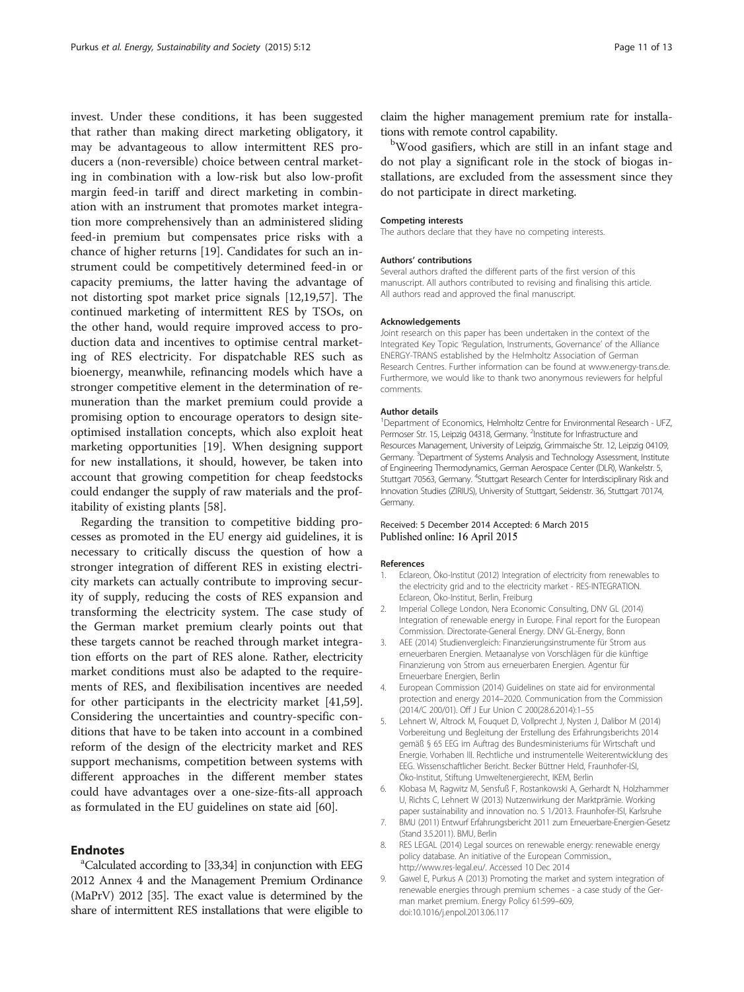<span id="page-10-0"></span>invest. Under these conditions, it has been suggested that rather than making direct marketing obligatory, it may be advantageous to allow intermittent RES producers a (non-reversible) choice between central marketing in combination with a low-risk but also low-profit margin feed-in tariff and direct marketing in combination with an instrument that promotes market integration more comprehensively than an administered sliding feed-in premium but compensates price risks with a chance of higher returns [[19](#page-11-0)]. Candidates for such an instrument could be competitively determined feed-in or capacity premiums, the latter having the advantage of not distorting spot market price signals [\[12,19](#page-11-0)[,57\]](#page-12-0). The continued marketing of intermittent RES by TSOs, on the other hand, would require improved access to production data and incentives to optimise central marketing of RES electricity. For dispatchable RES such as bioenergy, meanwhile, refinancing models which have a stronger competitive element in the determination of remuneration than the market premium could provide a promising option to encourage operators to design siteoptimised installation concepts, which also exploit heat marketing opportunities [[19](#page-11-0)]. When designing support for new installations, it should, however, be taken into account that growing competition for cheap feedstocks could endanger the supply of raw materials and the profitability of existing plants [\[58\]](#page-12-0).

Regarding the transition to competitive bidding processes as promoted in the EU energy aid guidelines, it is necessary to critically discuss the question of how a stronger integration of different RES in existing electricity markets can actually contribute to improving security of supply, reducing the costs of RES expansion and transforming the electricity system. The case study of the German market premium clearly points out that these targets cannot be reached through market integration efforts on the part of RES alone. Rather, electricity market conditions must also be adapted to the requirements of RES, and flexibilisation incentives are needed for other participants in the electricity market [\[41](#page-11-0)[,59](#page-12-0)]. Considering the uncertainties and country-specific conditions that have to be taken into account in a combined reform of the design of the electricity market and RES support mechanisms, competition between systems with different approaches in the different member states could have advantages over a one-size-fits-all approach as formulated in the EU guidelines on state aid [\[60](#page-12-0)].

# **Endnotes**

<sup>a</sup>Calculated according to [\[33,34](#page-11-0)] in conjunction with EEG 2012 Annex 4 and the Management Premium Ordinance (MaPrV) 2012 [\[35](#page-11-0)]. The exact value is determined by the share of intermittent RES installations that were eligible to claim the higher management premium rate for installations with remote control capability.

<sup>b</sup>Wood gasifiers, which are still in an infant stage and do not play a significant role in the stock of biogas installations, are excluded from the assessment since they do not participate in direct marketing.

#### Competing interests

The authors declare that they have no competing interests.

#### Authors' contributions

Several authors drafted the different parts of the first version of this manuscript. All authors contributed to revising and finalising this article. All authors read and approved the final manuscript.

#### Acknowledgements

Joint research on this paper has been undertaken in the context of the Integrated Key Topic 'Regulation, Instruments, Governance' of the Alliance ENERGY-TRANS established by the Helmholtz Association of German Research Centres. Further information can be found at [www.energy-trans.de](http://www.energy-trans.de). Furthermore, we would like to thank two anonymous reviewers for helpful comments.

#### Author details

<sup>1</sup>Department of Economics, Helmholtz Centre for Environmental Research - UFZ Permoser Str. 15, Leipzig 04318, Germany. <sup>2</sup>Institute for Infrastructure and Resources Management, University of Leipzig, Grimmaische Str. 12, Leipzig 04109, Germany. <sup>3</sup>Department of Systems Analysis and Technology Assessment, Institute of Engineering Thermodynamics, German Aerospace Center (DLR), Wankelstr. 5, Stuttgart 70563, Germany. <sup>4</sup>Stuttgart Research Center for Interdisciplinary Risk and Innovation Studies (ZIRIUS), University of Stuttgart, Seidenstr. 36, Stuttgart 70174, Germany.

#### Received: 5 December 2014 Accepted: 6 March 2015 Published online: 16 April 2015

#### References

- 1. Eclareon, Öko-Institut (2012) Integration of electricity from renewables to the electricity grid and to the electricity market - RES-INTEGRATION. Eclareon, Öko-Institut, Berlin, Freiburg
- 2. Imperial College London, Nera Economic Consulting, DNV GL (2014) Integration of renewable energy in Europe. Final report for the European Commission. Directorate-General Energy. DNV GL-Energy, Bonn
- 3. AEE (2014) Studienvergleich: Finanzierungsinstrumente für Strom aus erneuerbaren Energien. Metaanalyse von Vorschlägen für die künftige Finanzierung von Strom aus erneuerbaren Energien. Agentur für Erneuerbare Energien, Berlin
- 4. European Commission (2014) Guidelines on state aid for environmental protection and energy 2014–2020. Communication from the Commission (2014/C 200/01). Off J Eur Union C 200(28.6.2014):1–55
- 5. Lehnert W, Altrock M, Fouquet D, Vollprecht J, Nysten J, Dalibor M (2014) Vorbereitung und Begleitung der Erstellung des Erfahrungsberichts 2014 gemäß § 65 EEG im Auftrag des Bundesministeriums für Wirtschaft und Energie. Vorhaben III. Rechtliche und instrumentelle Weiterentwicklung des EEG. Wissenschaftlicher Bericht. Becker Büttner Held, Fraunhofer-ISI, Öko-Institut, Stiftung Umweltenergierecht, IKEM, Berlin
- 6. Klobasa M, Ragwitz M, Sensfuß F, Rostankowski A, Gerhardt N, Holzhammer U, Richts C, Lehnert W (2013) Nutzenwirkung der Marktprämie. Working paper sustainability and innovation no. S 1/2013. Fraunhofer-ISI, Karlsruhe
- 7. BMU (2011) Entwurf Erfahrungsbericht 2011 zum Erneuerbare-Energien-Gesetz (Stand 3.5.2011). BMU, Berlin
- 8. RES LEGAL (2014) Legal sources on renewable energy: renewable energy policy database. An initiative of the European Commission., [http://www.res-legal.eu/.](http://www.res-legal.eu/) Accessed 10 Dec 2014
- 9. Gawel E, Purkus A (2013) Promoting the market and system integration of renewable energies through premium schemes - a case study of the German market premium. Energy Policy 61:599–609, doi:10.1016/j.enpol.2013.06.117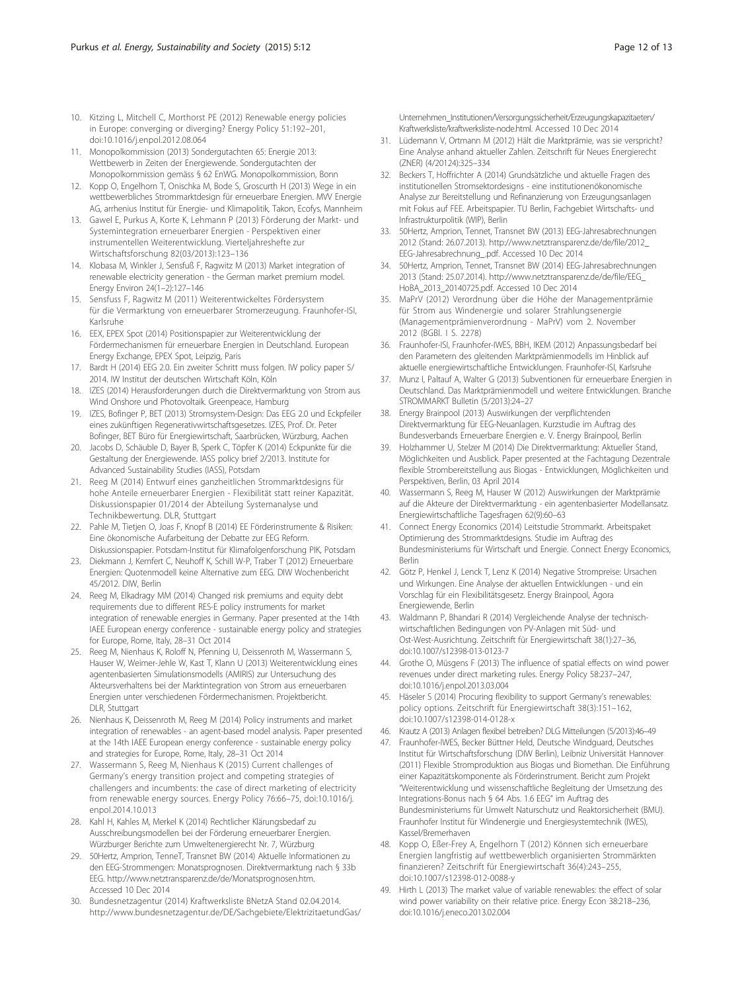- <span id="page-11-0"></span>10. Kitzing L, Mitchell C, Morthorst PE (2012) Renewable energy policies in Europe: converging or diverging? Energy Policy 51:192–201, doi:10.1016/j.enpol.2012.08.064
- 11. Monopolkommission (2013) Sondergutachten 65: Energie 2013: Wettbewerb in Zeiten der Energiewende. Sondergutachten der Monopolkommission gemäss § 62 EnWG. Monopolkommission, Bonn
- 12. Kopp O, Engelhorn T, Onischka M, Bode S, Groscurth H (2013) Wege in ein wettbewerbliches Strommarktdesign für erneuerbare Energien. MVV Energie AG, arrhenius Institut für Energie- und Klimapolitik, Takon, Ecofys, Mannheim
- 13. Gawel E, Purkus A, Korte K, Lehmann P (2013) Förderung der Markt- und Systemintegration erneuerbarer Energien - Perspektiven einer instrumentellen Weiterentwicklung. Vierteljahreshefte zur Wirtschaftsforschung 82(03/2013):123–136
- 14. Klobasa M, Winkler J, Sensfuß F, Ragwitz M (2013) Market integration of renewable electricity generation - the German market premium model. Energy Environ 24(1–2):127–146
- 15. Sensfuss F, Ragwitz M (2011) Weiterentwickeltes Fördersystem für die Vermarktung von erneuerbarer Stromerzeugung. Fraunhofer-ISI, Karlsruhe
- 16. EEX, EPEX Spot (2014) Positionspapier zur Weiterentwicklung der Fördermechanismen für erneuerbare Energien in Deutschland. European Energy Exchange, EPEX Spot, Leipzig, Paris
- 17. Bardt H (2014) EEG 2.0. Ein zweiter Schritt muss folgen. IW policy paper 5/ 2014. IW Institut der deutschen Wirtschaft Köln, Köln
- 18. IZES (2014) Herausforderungen durch die Direktvermarktung von Strom aus Wind Onshore und Photovoltaik. Greenpeace, Hamburg
- 19. IZES, Bofinger P, BET (2013) Stromsystem-Design: Das EEG 2.0 und Eckpfeiler eines zukünftigen Regenerativwirtschaftsgesetzes. IZES, Prof. Dr. Peter Bofinger, BET Büro für Energiewirtschaft, Saarbrücken, Würzburg, Aachen
- 20. Jacobs D, Schäuble D, Bayer B, Sperk C, Töpfer K (2014) Eckpunkte für die Gestaltung der Energiewende. IASS policy brief 2/2013. Institute for Advanced Sustainability Studies (IASS), Potsdam
- 21. Reeg M (2014) Entwurf eines ganzheitlichen Strommarktdesigns für hohe Anteile erneuerbarer Energien - Flexibilität statt reiner Kapazität. Diskussionspapier 01/2014 der Abteilung Systemanalyse und Technikbewertung. DLR, Stuttgart
- 22. Pahle M, Tietjen O, Joas F, Knopf B (2014) EE Förderinstrumente & Risiken: Eine ökonomische Aufarbeitung der Debatte zur EEG Reform. Diskussionspapier. Potsdam-Institut für Klimafolgenforschung PIK, Potsdam
- 23. Diekmann J, Kemfert C, Neuhoff K, Schill W-P, Traber T (2012) Erneuerbare Energien: Quotenmodell keine Alternative zum EEG. DIW Wochenbericht 45/2012. DIW, Berlin
- 24. Reeg M, Elkadragy MM (2014) Changed risk premiums and equity debt requirements due to different RES-E policy instruments for market integration of renewable energies in Germany. Paper presented at the 14th IAEE European energy conference - sustainable energy policy and strategies for Europe, Rome, Italy, 28–31 Oct 2014
- 25. Reeg M, Nienhaus K, Roloff N, Pfenning U, Deissenroth M, Wassermann S, Hauser W, Weimer-Jehle W, Kast T, Klann U (2013) Weiterentwicklung eines agentenbasierten Simulationsmodells (AMIRIS) zur Untersuchung des Akteursverhaltens bei der Marktintegration von Strom aus erneuerbaren Energien unter verschiedenen Fördermechanismen. Projektbericht. DLR, Stuttgart
- 26. Nienhaus K, Deissenroth M, Reeg M (2014) Policy instruments and market integration of renewables - an agent-based model analysis. Paper presented at the 14th IAEE European energy conference - sustainable energy policy and strategies for Europe, Rome, Italy, 28–31 Oct 2014
- 27. Wassermann S, Reeg M, Nienhaus K (2015) Current challenges of Germany's energy transition project and competing strategies of challengers and incumbents: the case of direct marketing of electricity from renewable energy sources. Energy Policy 76:66–75, doi:10.1016/j. enpol.2014.10.013
- 28. Kahl H, Kahles M, Merkel K (2014) Rechtlicher Klärungsbedarf zu Ausschreibungsmodellen bei der Förderung erneuerbarer Energien. Würzburger Berichte zum Umweltenergierecht Nr. 7, Würzburg
- 29. 50Hertz, Amprion, TenneT, Transnet BW (2014) Aktuelle Informationen zu den EEG-Strommengen: Monatsprognosen. Direktvermarktung nach § 33b EEG. [http://www.netztransparenz.de/de/Monatsprognosen.htm.](http://www.netztransparenz.de/de/Monatsprognosen.htm) Accessed 10 Dec 2014
- 30. Bundesnetzagentur (2014) Kraftwerksliste BNetzA Stand 02.04.2014. [http://www.bundesnetzagentur.de/DE/Sachgebiete/ElektrizitaetundGas/](http://www.bundesnetzagentur.de/DE/Sachgebiete/ElektrizitaetundGas/Unternehmen_Institutionen/Versorgungssicherheit/Erzeugungskapazitaeten/Kraftwerksliste/kraftwerksliste-node.html)

[Unternehmen\\_Institutionen/Versorgungssicherheit/Erzeugungskapazitaeten/](http://www.bundesnetzagentur.de/DE/Sachgebiete/ElektrizitaetundGas/Unternehmen_Institutionen/Versorgungssicherheit/Erzeugungskapazitaeten/Kraftwerksliste/kraftwerksliste-node.html) [Kraftwerksliste/kraftwerksliste-node.html](http://www.bundesnetzagentur.de/DE/Sachgebiete/ElektrizitaetundGas/Unternehmen_Institutionen/Versorgungssicherheit/Erzeugungskapazitaeten/Kraftwerksliste/kraftwerksliste-node.html). Accessed 10 Dec 2014

- 31. Lüdemann V, Ortmann M (2012) Hält die Marktprämie, was sie verspricht? Eine Analyse anhand aktueller Zahlen. Zeitschrift für Neues Energierecht (ZNER) (4/20124):325–334
- 32. Beckers T, Hoffrichter A (2014) Grundsätzliche und aktuelle Fragen des institutionellen Stromsektordesigns - eine institutionenökonomische Analyse zur Bereitstellung und Refinanzierung von Erzeugungsanlagen mit Fokus auf FEE. Arbeitspapier. TU Berlin, Fachgebiet Wirtschafts- und Infrastrukturpolitik (WIP), Berlin
- 33. 50Hertz, Amprion, Tennet, Transnet BW (2013) EEG-Jahresabrechnungen 2012 (Stand: 26.07.2013). [http://www.netztransparenz.de/de/file/2012\\_](http://www.netztransparenz.de/de/file/2012_EEG-Jahresabrechnung_.pdf) [EEG-Jahresabrechnung\\_.pdf](http://www.netztransparenz.de/de/file/2012_EEG-Jahresabrechnung_.pdf). Accessed 10 Dec 2014
- 34. 50Hertz, Amprion, Tennet, Transnet BW (2014) EEG-Jahresabrechnungen 2013 (Stand: 25.07.2014). [http://www.netztransparenz.de/de/file/EEG\\_](http://www.netztransparenz.de/de/file/EEG_HoBA_2013_20140725.pdf) [HoBA\\_2013\\_20140725.pdf.](http://www.netztransparenz.de/de/file/EEG_HoBA_2013_20140725.pdf) Accessed 10 Dec 2014
- 35. MaPrV (2012) Verordnung über die Höhe der Managementprämie für Strom aus Windenergie und solarer Strahlungsenergie (Managementprämienverordnung - MaPrV) vom 2. November 2012 (BGBl. I S. 2278)
- 36. Fraunhofer-ISI, Fraunhofer-IWES, BBH, IKEM (2012) Anpassungsbedarf bei den Parametern des gleitenden Marktprämienmodells im Hinblick auf aktuelle energiewirtschaftliche Entwicklungen. Fraunhofer-ISI, Karlsruhe
- 37. Munz I, Paltauf A, Walter G (2013) Subventionen für erneuerbare Energien in Deutschland. Das Marktprämienmodell und weitere Entwicklungen. Branche STROMMARKT Bulletin (5/2013):24–27
- 38. Energy Brainpool (2013) Auswirkungen der verpflichtenden Direktvermarktung für EEG-Neuanlagen. Kurzstudie im Auftrag des Bundesverbands Erneuerbare Energien e. V. Energy Brainpool, Berlin
- 39. Holzhammer U, Stelzer M (2014) Die Direktvermarktung: Aktueller Stand, Möglichkeiten und Ausblick. Paper presented at the Fachtagung Dezentrale flexible Strombereitstellung aus Biogas - Entwicklungen, Möglichkeiten und Perspektiven, Berlin, 03 April 2014
- 40. Wassermann S, Reeg M, Hauser W (2012) Auswirkungen der Marktprämie auf die Akteure der Direktvermarktung - ein agentenbasierter Modellansatz. Energiewirtschaftliche Tagesfragen 62(9):60–63
- 41. Connect Energy Economics (2014) Leitstudie Strommarkt. Arbeitspaket Optimierung des Strommarktdesigns. Studie im Auftrag des Bundesministeriums für Wirtschaft und Energie. Connect Energy Economics, Berlin
- 42. Götz P, Henkel J, Lenck T, Lenz K (2014) Negative Strompreise: Ursachen und Wirkungen. Eine Analyse der aktuellen Entwicklungen - und ein Vorschlag für ein Flexibilitätsgesetz. Energy Brainpool, Agora Energiewende, Berlin
- 43. Waldmann P, Bhandari R (2014) Vergleichende Analyse der technischwirtschaftlichen Bedingungen von PV-Anlagen mit Süd- und Ost-West-Ausrichtung. Zeitschrift für Energiewirtschaft 38(1):27–36, doi:10.1007/s12398-013-0123-7
- 44. Grothe O, Müsgens F (2013) The influence of spatial effects on wind power revenues under direct marketing rules. Energy Policy 58:237–247, doi:10.1016/j.enpol.2013.03.004
- 45. Häseler S (2014) Procuring flexibility to support Germany's renewables: policy options. Zeitschrift für Energiewirtschaft 38(3):151–162, doi:10.1007/s12398-014-0128-x
- 46. Krautz A (2013) Anlagen flexibel betreiben? DLG Mitteilungen (5/2013):46–49
- 47. Fraunhofer-IWES, Becker Büttner Held, Deutsche Windguard, Deutsches Institut für Wirtschaftsforschung (DIW Berlin), Leibniz Universität Hannover (2011) Flexible Stromproduktion aus Biogas und Biomethan. Die Einführung einer Kapazitätskomponente als Förderinstrument. Bericht zum Projekt "Weiterentwicklung und wissenschaftliche Begleitung der Umsetzung des Integrations-Bonus nach § 64 Abs. 1.6 EEG" im Auftrag des Bundesministeriums für Umwelt Naturschutz und Reaktorsicherheit (BMU). Fraunhofer Institut für Windenergie und Energiesystemtechnik (IWES), Kassel/Bremerhaven
- 48. Kopp O, Eßer-Frey A, Engelhorn T (2012) Können sich erneuerbare Energien langfristig auf wettbewerblich organisierten Strommärkten finanzieren? Zeitschrift für Energiewirtschaft 36(4):243–255, doi:10.1007/s12398-012-0088-y
- 49. Hirth L (2013) The market value of variable renewables: the effect of solar wind power variability on their relative price. Energy Econ 38:218–236, doi:10.1016/j.eneco.2013.02.004